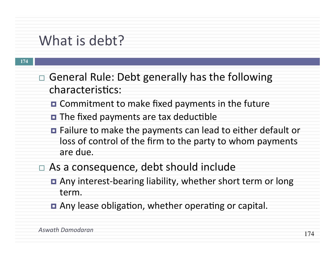### What is debt?

#### **174**

- $\Box$  General Rule: Debt generally has the following characteristics:
	- $\blacksquare$  Commitment to make fixed payments in the future
	- $\blacksquare$  The fixed payments are tax deductible
	- Failure to make the payments can lead to either default or loss of control of the firm to the party to whom payments are due.
- $\Box$  As a consequence, debt should include
	- Any interest-bearing liability, whether short term or long term.
	- **□** Any lease obligation, whether operating or capital.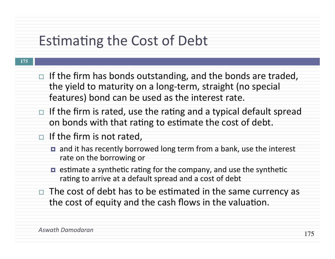## Estimating the Cost of Debt

#### **175**

- $\Box$  If the firm has bonds outstanding, and the bonds are traded, the yield to maturity on a long-term, straight (no special features) bond can be used as the interest rate.
- $\Box$  If the firm is rated, use the rating and a typical default spread on bonds with that rating to estimate the cost of debt.
- $\Box$  If the firm is not rated,
	- and it has recently borrowed long term from a bank, use the interest rate on the borrowing or
	- $\blacksquare$  estimate a synthetic rating for the company, and use the synthetic rating to arrive at a default spread and a cost of debt
- $\Box$  The cost of debt has to be estimated in the same currency as the cost of equity and the cash flows in the valuation.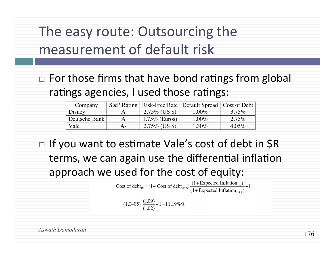## The easy route: Outsourcing the measurement of default risk

 $\Box$  For those firms that have bond ratings from global ratings agencies, I used those ratings:

| Company       |                  | S&P Rating   Risk-Free Rate   Default Spread   Cost of Debt |          |
|---------------|------------------|-------------------------------------------------------------|----------|
| Disney        | $2.75\%$ (US \$) | 1.00%                                                       | $3.75\%$ |
| Deutsche Bank | $1.75\%$ (Euros) | $1.00\%$                                                    | $2.75\%$ |
| Vale          | $2.75\%$ (US \$) | 1.30%                                                       | $4.05\%$ |

 $\Box$  If you want to estimate Vale's cost of debt in \$R terms, we can again use the differential inflation approach we used for the cost of equity:

Cost of debt<sub>Rs</sub>=  $(1 + \text{Cost of debt}_{\text{US S}}) \frac{(1 + \text{Expected Inflation}_{\text{RS}})}{(1 + \text{Expected Inflation}_{\text{US S}})} - 1$ 

$$
= (1.0405) \frac{(1.09)}{(1.02)} - 1 = 11.19\%
$$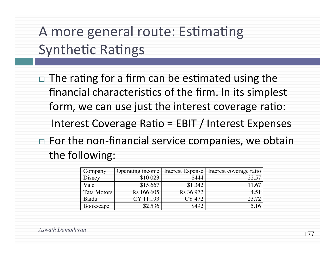A more general route: Estimating Synthetic Ratings

 $\Box$  The rating for a firm can be estimated using the financial characteristics of the firm. In its simplest form, we can use just the interest coverage ratio:

Interest Coverage Ratio =  $EBIT /$  Interest Expenses

 $\Box$  For the non-financial service companies, we obtain the following:

| Company            |            |               | Operating income   Interest Expense   Interest coverage ratio |
|--------------------|------------|---------------|---------------------------------------------------------------|
| Disney             | \$10.023   | \$444         | 22.57                                                         |
| Vale               | \$15,667   | \$1,342       | 11.67                                                         |
| <b>Tata Motors</b> | Rs 166,605 | Rs 36,972     | 4.51                                                          |
| Baidu              | CY 11.193  | <b>CY 472</b> | 23.72                                                         |
| Bookscape          | \$2,536    | \$492         | 5.16                                                          |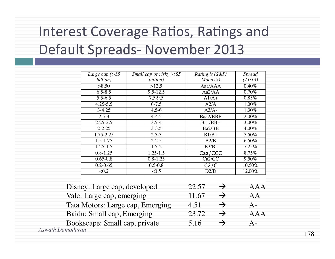# Interest Coverage Ratios, Ratings and Default Spreads- November 2013

| Large cap $(>\$ \$5          | Small cap or risky $(§5)$ | Rating is (S&P/        | <b>Spread</b> |
|------------------------------|---------------------------|------------------------|---------------|
| billion)                     | billion)                  | Mody's)                | (11/13)       |
| >8.50                        | >12,5                     | Aaa/AAA                | $0.40\%$      |
| $6.5 - 8.5$                  | $9.5 - 12.5$              | Aa2/AA                 | $0.70\%$      |
| $5.5 - 6.5$                  | $7.5 - 9.5$               | $A1/A+$                | 0.85%         |
| $4.25 - 5.5$                 | $6 - 7.5$                 | A2/A                   | 1.00%         |
| $3 - 4.25$                   | $4.5 - 6$                 | $A3/A-$                | 1.30%         |
| $2.5 - 3$                    | $4 - 4.5$                 | Baa2/BBB               | 2.00%         |
| $2.25 - 2.5$                 | $3.5 - 4$                 | Ba1/BB+                | 3.00%         |
| $2 - 2.25$                   | $3 - 3.5$                 | Ba2/BB                 | $4.00\%$      |
| 1.75-2.25                    | $2.5 - 3$                 | $B1/B+$                | 5.50%         |
| $1.5 - 1.75$                 | $2 - 2.5$                 | B2/B                   | 6.50%         |
| $1.25 - 1.5$                 | $1.5 - 2$                 | $\overline{B3/B}$ -    | 7.25%         |
| $0.8 - 1.25$                 | $1.25 - 1.5$              | Caa/CCC                | 8.75%         |
| $0.65 - 0.8$                 | $0.8 - 1.25$              | Ca2/CC                 | $9.50\%$      |
| $0.2 - 0.65$                 | $0.5 - 0.8$               | C2/C                   | 10.50%        |
| $\sqrt{0.2}$                 | $\sqrt{0.5}$              | D2/D                   | 12.00%        |
|                              |                           |                        |               |
|                              |                           |                        |               |
| Disney: Large cap, developed |                           | 22.57<br>$\rightarrow$ |               |

| $Disny$ . Large eap, ac veloped  | 22.71                         | 7 V 7 V 7 V |
|----------------------------------|-------------------------------|-------------|
| Vale: Large cap, emerging        | 11.67                         | AА          |
| Tata Motors: Large cap, Emerging | $4 \overline{\smash{\wedge}}$ |             |
| Baidu: Small cap, Emerging       | 23.72                         | A A A       |
| Bookscape: Small cap, private    | 5.16                          |             |
| Aswath Damodaran                 |                               |             |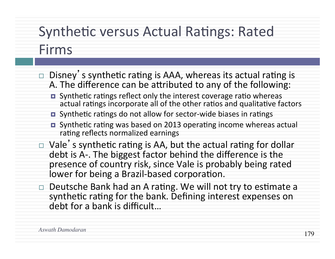## Synthetic versus Actual Ratings: Rated

#### Firms

- $\Box$  Disney's synthetic rating is AAA, whereas its actual rating is A. The difference can be attributed to any of the following:
	- **□** Synthetic ratings reflect only the interest coverage ratio whereas actual ratings incorporate all of the other ratios and qualitative factors
	- Synthetic ratings do not allow for sector-wide biases in ratings
	- $\blacksquare$  Synthetic rating was based on 2013 operating income whereas actual rating reflects normalized earnings
- $\Box$  Vale's synthetic rating is AA, but the actual rating for dollar debt is A-. The biggest factor behind the difference is the presence of country risk, since Vale is probably being rated lower for being a Brazil-based corporation.
- $\Box$  Deutsche Bank had an A rating. We will not try to estimate a synthetic rating for the bank. Defining interest expenses on debt for a bank is difficult...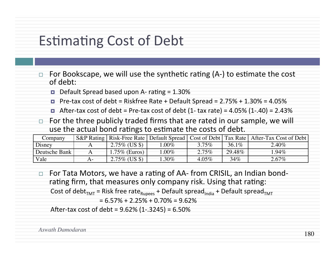### Estimating Cost of Debt

- For Bookscape, we will use the synthetic rating  $(A-)$  to estimate the cost of debt:
	- $\blacksquare$  Default Spread based upon A- rating = 1.30%
	- $\blacksquare$  Pre-tax cost of debt = Riskfree Rate + Default Spread = 2.75% + 1.30% = 4.05%
	- $\blacksquare$  After-tax cost of debt = Pre-tax cost of debt (1- tax rate) = 4.05% (1-.40) = 2.43%
- For the three publicly traded firms that are rated in our sample, we will use the actual bond ratings to estimate the costs of debt.

| Company       |                  |         |          |          | S&P Rating   Risk-Free Rate   Default Spread   Cost of Debt   Tax Rate   After-Tax Cost of Debt |
|---------------|------------------|---------|----------|----------|-------------------------------------------------------------------------------------------------|
| Disney        | $2.75\%$ (US \$) | $.00\%$ | $3.75\%$ | $36.1\%$ | $2.40\%$                                                                                        |
| Deutsche Bank | $1.75\%$ (Euros) | $.00\%$ | $2.75\%$ | 29.48%   | 1.94%                                                                                           |
| Vale          | $2.75\%$ (US \$) | $.30\%$ | $4.05\%$ | $34\%$   | $2.67\%$                                                                                        |

□ For Tata Motors, we have a rating of AA- from CRISIL, an Indian bondrating firm, that measures only company risk. Using that rating: Cost of debt<sub>TMT</sub> = Risk free rate<sub>Rupees</sub> + Default spread<sub>India</sub> + Default spread<sub>TMT</sub>

 $= 6.57\% + 2.25\% + 0.70\% = 9.62\%$ 

After-tax cost of debt =  $9.62\%$  (1-.3245) =  $6.50\%$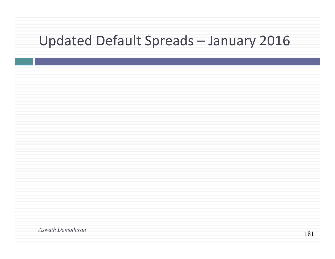## Updated Default Spreads - January 2016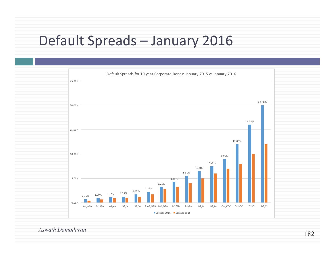## Default Spreads - January 2016